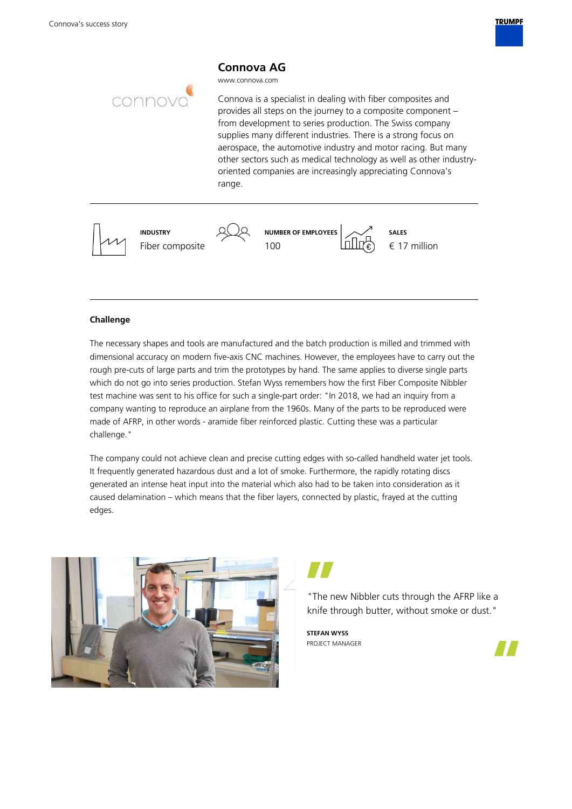



# **Challenge**

The necessary shapes and tools are manufactured and the batch production is milled and trimmed with dimensional accuracy on modern five-axis CNC machines. However, the employees have to carry out the rough pre-cuts of large parts and trim the prototypes by hand. The same applies to diverse single parts which do not go into series production. Stefan Wyss remembers how the first Fiber Composite Nibbler test machine was sent to his office for such a single-part order: "In 2018, we had an inquiry from a company wanting to reproduce an airplane from the 1960s. Many of the parts to be reproduced were made of AFRP, in other words - aramide fiber reinforced plastic. Cutting these was a particular challenge."

The company could not achieve clean and precise cutting edges with so-called handheld water jet tools. It frequently generated hazardous dust and a lot of smoke. Furthermore, the rapidly rotating discs generated an intense heat input into the material which also had to be taken into consideration as it caused delamination – which means that the fiber layers, connected by plastic, frayed at the cutting edges.



"The new Nibbler cuts through the AFRP like a knife through butter, without smoke or dust."

**STEFAN WYSS** PROJECT MANAGER

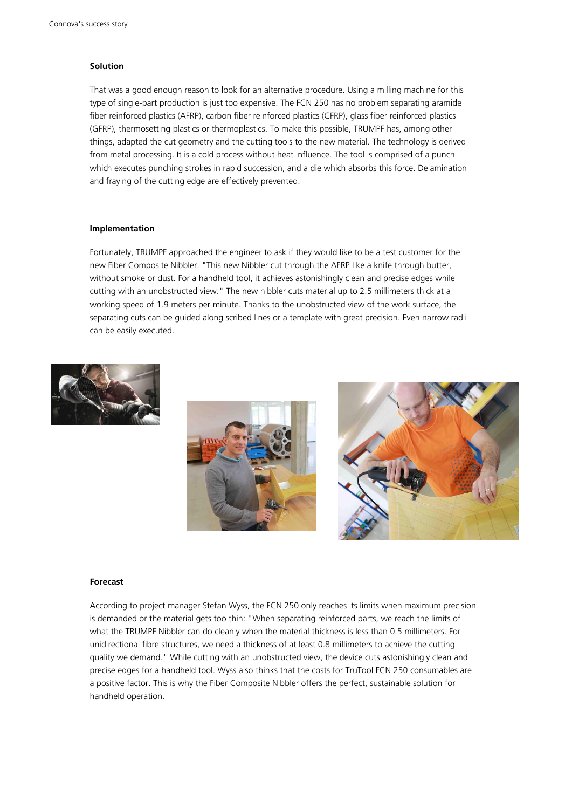## **Solution**

That was a good enough reason to look for an alternative procedure. Using a milling machine for this type of single-part production is just too expensive. The FCN 250 has no problem separating aramide fiber reinforced plastics (AFRP), carbon fiber reinforced plastics (CFRP), glass fiber reinforced plastics (GFRP), thermosetting plastics or thermoplastics. To make this possible, TRUMPF has, among other things, adapted the cut geometry and the cutting tools to the new material. The technology is derived from metal processing. It is a cold process without heat influence. The tool is comprised of a punch which executes punching strokes in rapid succession, and a die which absorbs this force. Delamination and fraying of the cutting edge are effectively prevented.

### **Implementation**

Fortunately, TRUMPF approached the engineer to ask if they would like to be a test customer for the new Fiber Composite Nibbler. "This new Nibbler cut through the AFRP like a knife through butter, without smoke or dust. For a handheld tool, it achieves astonishingly clean and precise edges while cutting with an unobstructed view." The new nibbler cuts material up to 2.5 millimeters thick at a working speed of 1.9 meters per minute. Thanks to the unobstructed view of the work surface, the separating cuts can be guided along scribed lines or a template with great precision. Even narrow radii can be easily executed.







#### **Forecast**

According to project manager Stefan Wyss, the FCN 250 only reaches its limits when maximum precision is demanded or the material gets too thin: "When separating reinforced parts, we reach the limits of what the TRUMPF Nibbler can do cleanly when the material thickness is less than 0.5 millimeters. For unidirectional fibre structures, we need a thickness of at least 0.8 millimeters to achieve the cutting quality we demand." While cutting with an unobstructed view, the device cuts astonishingly clean and precise edges for a handheld tool. Wyss also thinks that the costs for TruTool FCN 250 consumables are a positive factor. This is why the Fiber Composite Nibbler offers the perfect, sustainable solution for handheld operation.